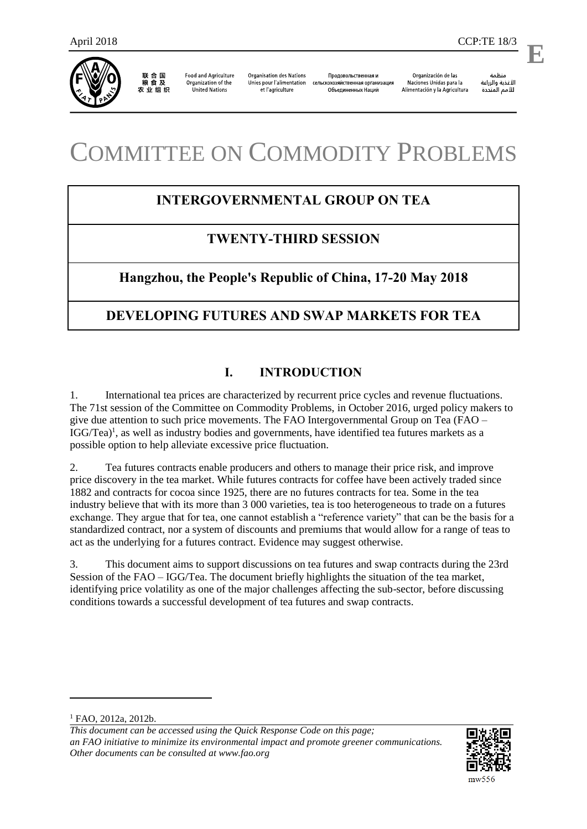

联合国<br>粮食及 农业组织

**Food and Agriculture** Organization of the **United Nations** 

**Organisation des Nations** Unies pour l'alimentation et l'agriculture

Продовольственная и сельскохозяйственная организация Объединенных Наций

Organización de las Naciones Unidas para la Alimentación y la Agricultura

منظمة الأغذية والزراعة للأمم المتحدة

.

**E**

# COMMITTEE ON COMMODITY PROBLEMS

# **INTERGOVERNMENTAL GROUP ON TEA**

## **TWENTY-THIRD SESSION**

## **Hangzhou, the People's Republic of China, 17-20 May 2018**

# **DEVELOPING FUTURES AND SWAP MARKETS FOR TEA**

### **I. INTRODUCTION**

1. International tea prices are characterized by recurrent price cycles and revenue fluctuations. The 71st session of the Committee on Commodity Problems, in October 2016, urged policy makers to give due attention to such price movements. The FAO Intergovernmental Group on Tea (FAO – IGG/Tea)<sup>1</sup>, as well as industry bodies and governments, have identified tea futures markets as a possible option to help alleviate excessive price fluctuation.

2. Tea futures contracts enable producers and others to manage their price risk, and improve price discovery in the tea market. While futures contracts for coffee have been actively traded since 1882 and contracts for cocoa since 1925, there are no futures contracts for tea. Some in the tea industry believe that with its more than 3 000 varieties, tea is too heterogeneous to trade on a futures exchange. They argue that for tea, one cannot establish a "reference variety" that can be the basis for a standardized contract, nor a system of discounts and premiums that would allow for a range of teas to act as the underlying for a futures contract. Evidence may suggest otherwise.

3. This document aims to support discussions on tea futures and swap contracts during the 23rd Session of the FAO – IGG/Tea. The document briefly highlights the situation of the tea market, identifying price volatility as one of the major challenges affecting the sub-sector, before discussing conditions towards a successful development of tea futures and swap contracts.

 $\overline{a}$ 

*This document can be accessed using the Quick Response Code on this page; an FAO initiative to minimize its environmental impact and promote greener communications. Other documents can be consulted at www.fao.org* 



<sup>1</sup> FAO, 2012a, 2012b.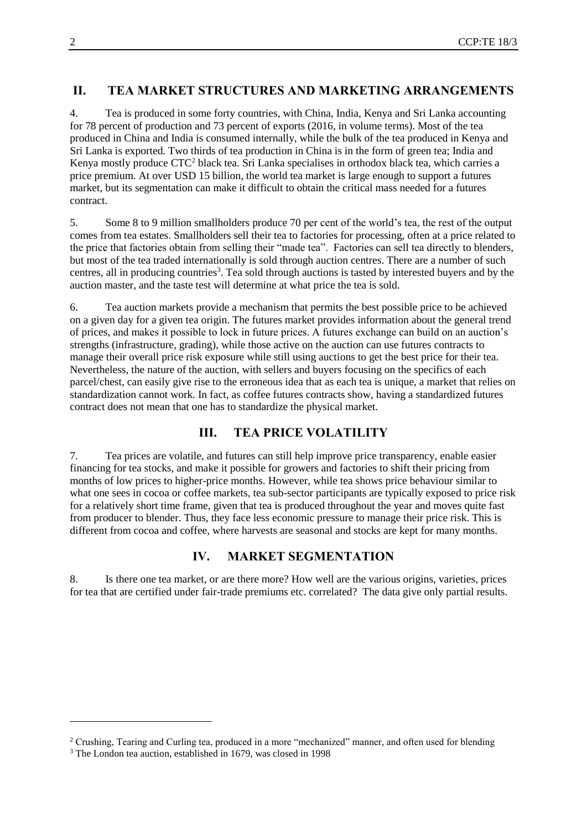#### **II. TEA MARKET STRUCTURES AND MARKETING ARRANGEMENTS**

4. Tea is produced in some forty countries, with China, India, Kenya and Sri Lanka accounting for 78 percent of production and 73 percent of exports (2016, in volume terms). Most of the tea produced in China and India is consumed internally, while the bulk of the tea produced in Kenya and Sri Lanka is exported. Two thirds of tea production in China is in the form of green tea; India and Kenya mostly produce CTC<sup>2</sup> black tea. Sri Lanka specialises in orthodox black tea, which carries a price premium. At over USD 15 billion, the world tea market is large enough to support a futures market, but its segmentation can make it difficult to obtain the critical mass needed for a futures contract.

5. Some 8 to 9 million smallholders produce 70 per cent of the world's tea, the rest of the output comes from tea estates. Smallholders sell their tea to factories for processing, often at a price related to the price that factories obtain from selling their "made tea". Factories can sell tea directly to blenders, but most of the tea traded internationally is sold through auction centres. There are a number of such centres, all in producing countries<sup>3</sup>. Tea sold through auctions is tasted by interested buyers and by the auction master, and the taste test will determine at what price the tea is sold.

6. Tea auction markets provide a mechanism that permits the best possible price to be achieved on a given day for a given tea origin. The futures market provides information about the general trend of prices, and makes it possible to lock in future prices. A futures exchange can build on an auction's strengths (infrastructure, grading), while those active on the auction can use futures contracts to manage their overall price risk exposure while still using auctions to get the best price for their tea. Nevertheless, the nature of the auction, with sellers and buyers focusing on the specifics of each parcel/chest, can easily give rise to the erroneous idea that as each tea is unique, a market that relies on standardization cannot work. In fact, as coffee futures contracts show, having a standardized futures contract does not mean that one has to standardize the physical market.

#### **III. TEA PRICE VOLATILITY**

7. Tea prices are volatile, and futures can still help improve price transparency, enable easier financing for tea stocks, and make it possible for growers and factories to shift their pricing from months of low prices to higher-price months. However, while tea shows price behaviour similar to what one sees in cocoa or coffee markets, tea sub-sector participants are typically exposed to price risk for a relatively short time frame, given that tea is produced throughout the year and moves quite fast from producer to blender. Thus, they face less economic pressure to manage their price risk. This is different from cocoa and coffee, where harvests are seasonal and stocks are kept for many months.

#### **IV. MARKET SEGMENTATION**

8. Is there one tea market, or are there more? How well are the various origins, varieties, prices for tea that are certified under fair-trade premiums etc. correlated? The data give only partial results.

l

<sup>2</sup> Crushing, Tearing and Curling tea, produced in a more "mechanized" manner, and often used for blending

<sup>3</sup> The London tea auction, established in 1679, was closed in 1998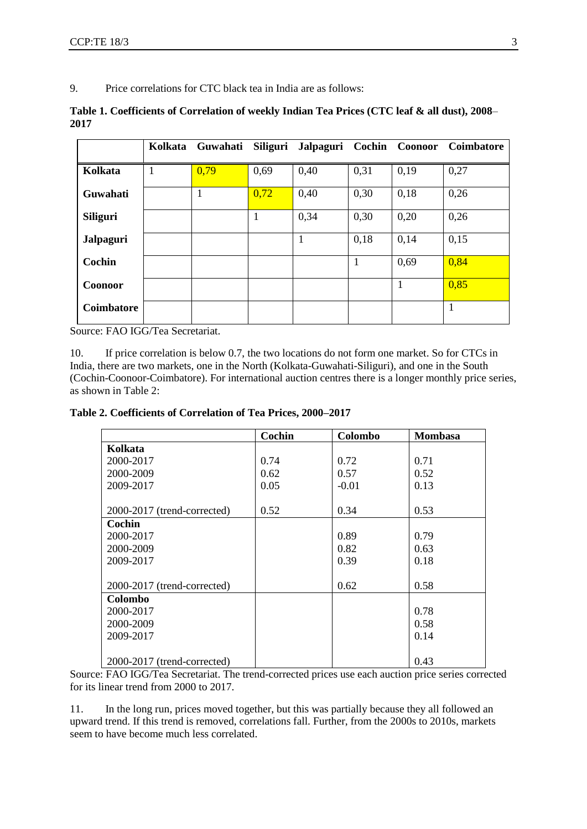9. Price correlations for CTC black tea in India are as follows:

|      | Table 1. Coefficients of Correlation of weekly Indian Tea Prices (CTC leaf & all dust), 2008– |  |  |
|------|-----------------------------------------------------------------------------------------------|--|--|
| 2017 |                                                                                               |  |  |

|                 | Kolkata | Guwahati     | Siliguri | Jalpaguri Cochin Coonoor |      |      | <b>Coimbatore</b> |
|-----------------|---------|--------------|----------|--------------------------|------|------|-------------------|
| Kolkata         | 1       | 0.79         | 0,69     | 0,40                     | 0,31 | 0,19 | 0,27              |
| Guwahati        |         | $\mathbf{1}$ | 0,72     | 0,40                     | 0,30 | 0,18 | 0,26              |
| <b>Siliguri</b> |         |              | 1        | 0,34                     | 0,30 | 0,20 | 0,26              |
| Jalpaguri       |         |              |          | 1                        | 0,18 | 0,14 | 0,15              |
| Cochin          |         |              |          |                          | 1    | 0,69 | 0,84              |
| <b>Coonoor</b>  |         |              |          |                          |      |      | 0,85              |
| Coimbatore      |         |              |          |                          |      |      |                   |

Source: FAO IGG/Tea Secretariat.

10. If price correlation is below 0.7, the two locations do not form one market. So for CTCs in India, there are two markets, one in the North (Kolkata-Guwahati-Siliguri), and one in the South (Cochin-Coonoor-Coimbatore). For international auction centres there is a longer monthly price series, as shown in Table 2:

**Table 2. Coefficients of Correlation of Tea Prices, 2000–2017**

|                             | Cochin | Colombo | <b>Mombasa</b> |
|-----------------------------|--------|---------|----------------|
| Kolkata                     |        |         |                |
| 2000-2017                   | 0.74   | 0.72    | 0.71           |
| 2000-2009                   | 0.62   | 0.57    | 0.52           |
| 2009-2017                   | 0.05   | $-0.01$ | 0.13           |
|                             |        |         |                |
| 2000-2017 (trend-corrected) | 0.52   | 0.34    | 0.53           |
| Cochin                      |        |         |                |
| 2000-2017                   |        | 0.89    | 0.79           |
| 2000-2009                   |        | 0.82    | 0.63           |
| 2009-2017                   |        | 0.39    | 0.18           |
|                             |        |         |                |
| 2000-2017 (trend-corrected) |        | 0.62    | 0.58           |
| Colombo                     |        |         |                |
| 2000-2017                   |        |         | 0.78           |
| 2000-2009                   |        |         | 0.58           |
| 2009-2017                   |        |         | 0.14           |
|                             |        |         |                |
| 2000-2017 (trend-corrected) |        |         | 0.43           |

Source: FAO IGG/Tea Secretariat. The trend-corrected prices use each auction price series corrected for its linear trend from 2000 to 2017.

11. In the long run, prices moved together, but this was partially because they all followed an upward trend. If this trend is removed, correlations fall. Further, from the 2000s to 2010s, markets seem to have become much less correlated.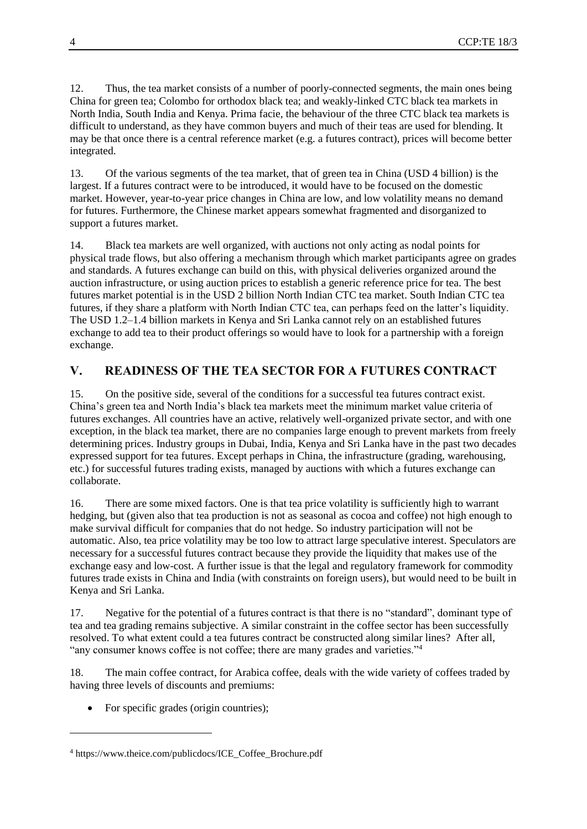12. Thus, the tea market consists of a number of poorly-connected segments, the main ones being China for green tea; Colombo for orthodox black tea; and weakly-linked CTC black tea markets in North India, South India and Kenya. Prima facie, the behaviour of the three CTC black tea markets is difficult to understand, as they have common buyers and much of their teas are used for blending. It may be that once there is a central reference market (e.g. a futures contract), prices will become better integrated.

13. Of the various segments of the tea market, that of green tea in China (USD 4 billion) is the largest. If a futures contract were to be introduced, it would have to be focused on the domestic market. However, year-to-year price changes in China are low, and low volatility means no demand for futures. Furthermore, the Chinese market appears somewhat fragmented and disorganized to support a futures market.

14. Black tea markets are well organized, with auctions not only acting as nodal points for physical trade flows, but also offering a mechanism through which market participants agree on grades and standards. A futures exchange can build on this, with physical deliveries organized around the auction infrastructure, or using auction prices to establish a generic reference price for tea. The best futures market potential is in the USD 2 billion North Indian CTC tea market. South Indian CTC tea futures, if they share a platform with North Indian CTC tea, can perhaps feed on the latter's liquidity. The USD 1.2–1.4 billion markets in Kenya and Sri Lanka cannot rely on an established futures exchange to add tea to their product offerings so would have to look for a partnership with a foreign exchange.

#### **V. READINESS OF THE TEA SECTOR FOR A FUTURES CONTRACT**

15. On the positive side, several of the conditions for a successful tea futures contract exist. China's green tea and North India's black tea markets meet the minimum market value criteria of futures exchanges. All countries have an active, relatively well-organized private sector, and with one exception, in the black tea market, there are no companies large enough to prevent markets from freely determining prices. Industry groups in Dubai, India, Kenya and Sri Lanka have in the past two decades expressed support for tea futures. Except perhaps in China, the infrastructure (grading, warehousing, etc.) for successful futures trading exists, managed by auctions with which a futures exchange can collaborate.

16. There are some mixed factors. One is that tea price volatility is sufficiently high to warrant hedging, but (given also that tea production is not as seasonal as cocoa and coffee) not high enough to make survival difficult for companies that do not hedge. So industry participation will not be automatic. Also, tea price volatility may be too low to attract large speculative interest. Speculators are necessary for a successful futures contract because they provide the liquidity that makes use of the exchange easy and low-cost. A further issue is that the legal and regulatory framework for commodity futures trade exists in China and India (with constraints on foreign users), but would need to be built in Kenya and Sri Lanka.

17. Negative for the potential of a futures contract is that there is no "standard", dominant type of tea and tea grading remains subjective. A similar constraint in the coffee sector has been successfully resolved. To what extent could a tea futures contract be constructed along similar lines? After all, "any consumer knows coffee is not coffee; there are many grades and varieties."<sup>4</sup>

18. The main coffee contract, for Arabica coffee, deals with the wide variety of coffees traded by having three levels of discounts and premiums:

• For specific grades (origin countries);

l

<sup>4</sup> https://www.theice.com/publicdocs/ICE\_Coffee\_Brochure.pdf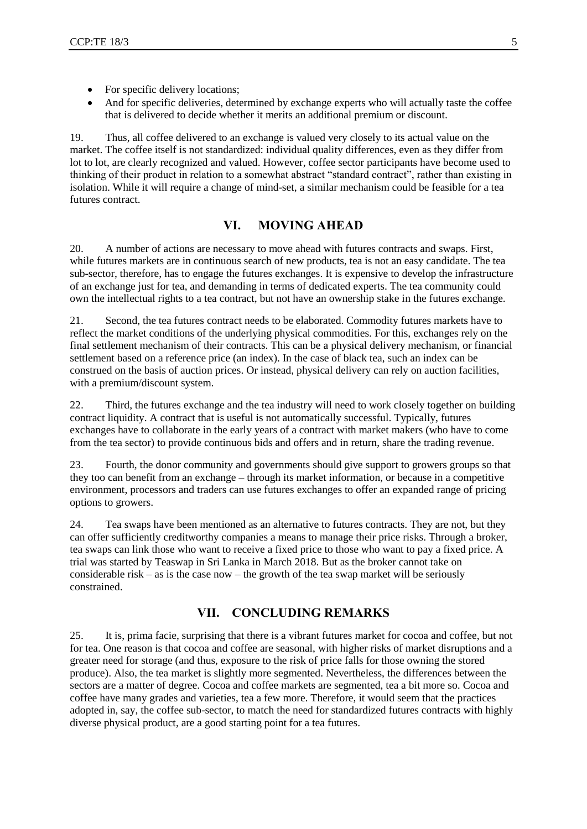- For specific delivery locations;
- And for specific deliveries, determined by exchange experts who will actually taste the coffee that is delivered to decide whether it merits an additional premium or discount.

19. Thus, all coffee delivered to an exchange is valued very closely to its actual value on the market. The coffee itself is not standardized: individual quality differences, even as they differ from lot to lot, are clearly recognized and valued. However, coffee sector participants have become used to thinking of their product in relation to a somewhat abstract "standard contract", rather than existing in isolation. While it will require a change of mind-set, a similar mechanism could be feasible for a tea futures contract.

#### **VI. MOVING AHEAD**

20. A number of actions are necessary to move ahead with futures contracts and swaps. First, while futures markets are in continuous search of new products, tea is not an easy candidate. The tea sub-sector, therefore, has to engage the futures exchanges. It is expensive to develop the infrastructure of an exchange just for tea, and demanding in terms of dedicated experts. The tea community could own the intellectual rights to a tea contract, but not have an ownership stake in the futures exchange.

21. Second, the tea futures contract needs to be elaborated. Commodity futures markets have to reflect the market conditions of the underlying physical commodities. For this, exchanges rely on the final settlement mechanism of their contracts. This can be a physical delivery mechanism, or financial settlement based on a reference price (an index). In the case of black tea, such an index can be construed on the basis of auction prices. Or instead, physical delivery can rely on auction facilities, with a premium/discount system.

22. Third, the futures exchange and the tea industry will need to work closely together on building contract liquidity. A contract that is useful is not automatically successful. Typically, futures exchanges have to collaborate in the early years of a contract with market makers (who have to come from the tea sector) to provide continuous bids and offers and in return, share the trading revenue.

23. Fourth, the donor community and governments should give support to growers groups so that they too can benefit from an exchange – through its market information, or because in a competitive environment, processors and traders can use futures exchanges to offer an expanded range of pricing options to growers.

24. Tea swaps have been mentioned as an alternative to futures contracts. They are not, but they can offer sufficiently creditworthy companies a means to manage their price risks. Through a broker, tea swaps can link those who want to receive a fixed price to those who want to pay a fixed price. A trial was started by Teaswap in Sri Lanka in March 2018. But as the broker cannot take on considerable risk – as is the case now – the growth of the tea swap market will be seriously constrained.

#### **VII. CONCLUDING REMARKS**

25. It is, prima facie, surprising that there is a vibrant futures market for cocoa and coffee, but not for tea. One reason is that cocoa and coffee are seasonal, with higher risks of market disruptions and a greater need for storage (and thus, exposure to the risk of price falls for those owning the stored produce). Also, the tea market is slightly more segmented. Nevertheless, the differences between the sectors are a matter of degree. Cocoa and coffee markets are segmented, tea a bit more so. Cocoa and coffee have many grades and varieties, tea a few more. Therefore, it would seem that the practices adopted in, say, the coffee sub-sector, to match the need for standardized futures contracts with highly diverse physical product, are a good starting point for a tea futures.